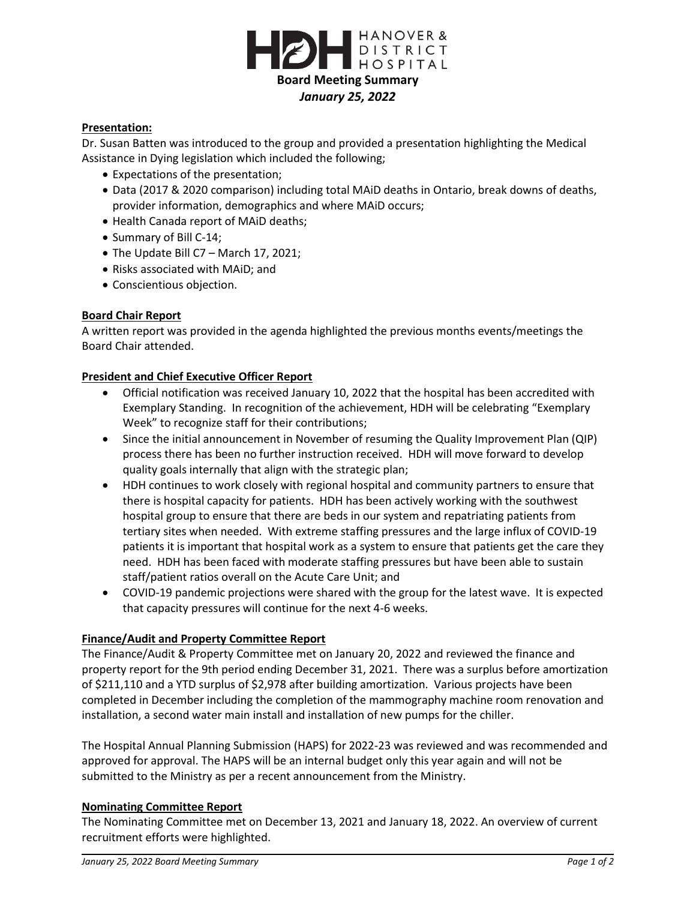

## **Presentation:**

Dr. Susan Batten was introduced to the group and provided a presentation highlighting the Medical Assistance in Dying legislation which included the following;

- Expectations of the presentation;
- Data (2017 & 2020 comparison) including total MAiD deaths in Ontario, break downs of deaths, provider information, demographics and where MAiD occurs;
- Health Canada report of MAiD deaths;
- Summary of Bill C-14;
- The Update Bill C7 March 17, 2021;
- Risks associated with MAiD; and
- Conscientious objection.

#### **Board Chair Report**

A written report was provided in the agenda highlighted the previous months events/meetings the Board Chair attended.

#### **President and Chief Executive Officer Report**

- Official notification was received January 10, 2022 that the hospital has been accredited with Exemplary Standing. In recognition of the achievement, HDH will be celebrating "Exemplary Week" to recognize staff for their contributions;
- Since the initial announcement in November of resuming the Quality Improvement Plan (QIP) process there has been no further instruction received. HDH will move forward to develop quality goals internally that align with the strategic plan;
- HDH continues to work closely with regional hospital and community partners to ensure that there is hospital capacity for patients. HDH has been actively working with the southwest hospital group to ensure that there are beds in our system and repatriating patients from tertiary sites when needed. With extreme staffing pressures and the large influx of COVID-19 patients it is important that hospital work as a system to ensure that patients get the care they need. HDH has been faced with moderate staffing pressures but have been able to sustain staff/patient ratios overall on the Acute Care Unit; and
- COVID-19 pandemic projections were shared with the group for the latest wave. It is expected that capacity pressures will continue for the next 4-6 weeks.

#### **Finance/Audit and Property Committee Report**

The Finance/Audit & Property Committee met on January 20, 2022 and reviewed the finance and property report for the 9th period ending December 31, 2021. There was a surplus before amortization of \$211,110 and a YTD surplus of \$2,978 after building amortization. Various projects have been completed in December including the completion of the mammography machine room renovation and installation, a second water main install and installation of new pumps for the chiller.

The Hospital Annual Planning Submission (HAPS) for 2022-23 was reviewed and was recommended and approved for approval. The HAPS will be an internal budget only this year again and will not be submitted to the Ministry as per a recent announcement from the Ministry.

#### **Nominating Committee Report**

The Nominating Committee met on December 13, 2021 and January 18, 2022. An overview of current recruitment efforts were highlighted.